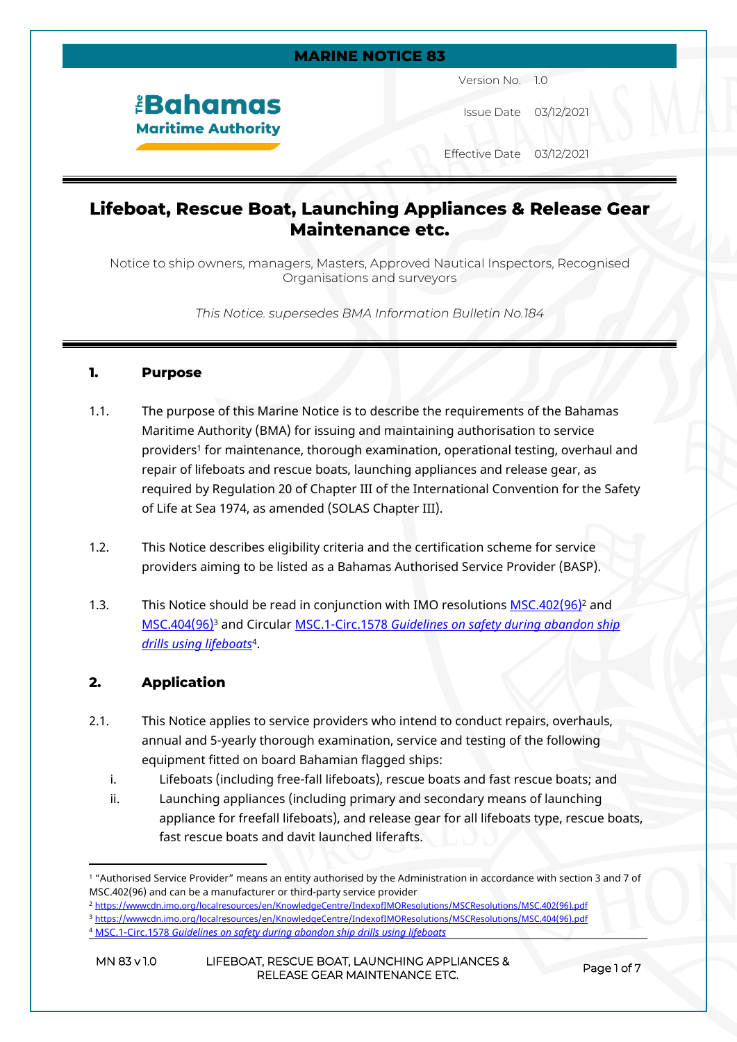#### **MARINE NOTICE 83**

# *<u><b>Bahamas</u>* **Maritime Authority**

Version No. 1.0

Issue Date 03/12/2021

Effective Date 03/12/2021

# **Lifeboat, Rescue Boat, Launching Appliances & Release Gear Maintenance etc.**

Notice to ship owners, managers, Masters, Approved Nautical Inspectors, Recognised Organisations and surveyors

*This Notice. supersedes BMA Information Bulletin No.184*

#### **1. Purpose**

- 1.1. The purpose of this Marine Notice is to describe the requirements of the Bahamas Maritime Authority (BMA) for issuing and maintaining authorisation to service providers<sup>1</sup> for maintenance, thorough examination, operational testing, overhaul and repair of lifeboats and rescue boats, launching appliances and release gear, as required by Regulation 20 of Chapter III of the International Convention for the Safety of Life at Sea 1974, as amended (SOLAS Chapter III).
- 1.2. This Notice describes eligibility criteria and the certification scheme for service providers aiming to be listed as a Bahamas Authorised Service Provider (BASP).
- 1.3. This Notice should be read in conjunction with IMO resolutions [MSC.402\(96\)](https://wwwcdn.imo.org/localresources/en/KnowledgeCentre/IndexofIMOResolutions/MSCResolutions/MSC.402(96).pdf)<sup>2</sup> and [MSC.404\(96\)](https://wwwcdn.imo.org/localresources/en/KnowledgeCentre/IndexofIMOResolutions/MSCResolutions/MSC.404(96).pdf)<sup>3</sup> and Circular MSC.1-Circ.1578 *[Guidelines on safety during abandon ship](https://wwwcdn.imo.org/localresources/en/OurWork/Safety/Documents/MSC.1-CIRC.1578.pdf)  [drills using lifeboats](https://wwwcdn.imo.org/localresources/en/OurWork/Safety/Documents/MSC.1-CIRC.1578.pdf)*<sup>4</sup> .

# **2. Application**

- 2.1. This Notice applies to service providers who intend to conduct repairs, overhauls, annual and 5-yearly thorough examination, service and testing of the following equipment fitted on board Bahamian flagged ships:
	- i. Lifeboats (including free-fall lifeboats), rescue boats and fast rescue boats; and
	- ii. Launching appliances (including primary and secondary means of launching appliance for freefall lifeboats), and release gear for all lifeboats type, rescue boats, fast rescue boats and davit launched liferafts.

<sup>1</sup> "Authorised Service Provider" means an entity authorised by the Administration in accordance with section 3 and 7 of MSC.402(96) and can be a manufacturer or third-party service provider

<sup>2</sup> [https://wwwcdn.imo.org/localresources/en/KnowledgeCentre/IndexofIMOResolutions/MSCResolutions/MSC.402\(96\).pdf](https://wwwcdn.imo.org/localresources/en/KnowledgeCentre/IndexofIMOResolutions/MSCResolutions/MSC.402(96).pdf) <sup>3</sup> [https://wwwcdn.imo.org/localresources/en/KnowledgeCentre/IndexofIMOResolutions/MSCResolutions/MSC.404\(96\).pdf](https://wwwcdn.imo.org/localresources/en/KnowledgeCentre/IndexofIMOResolutions/MSCResolutions/MSC.404(96).pdf) <sup>4</sup> MSC.1-Circ.1578 *[Guidelines on safety during abandon ship drills using lifeboats](https://wwwcdn.imo.org/localresources/en/OurWork/Safety/Documents/MSC.1-CIRC.1578.pdf)*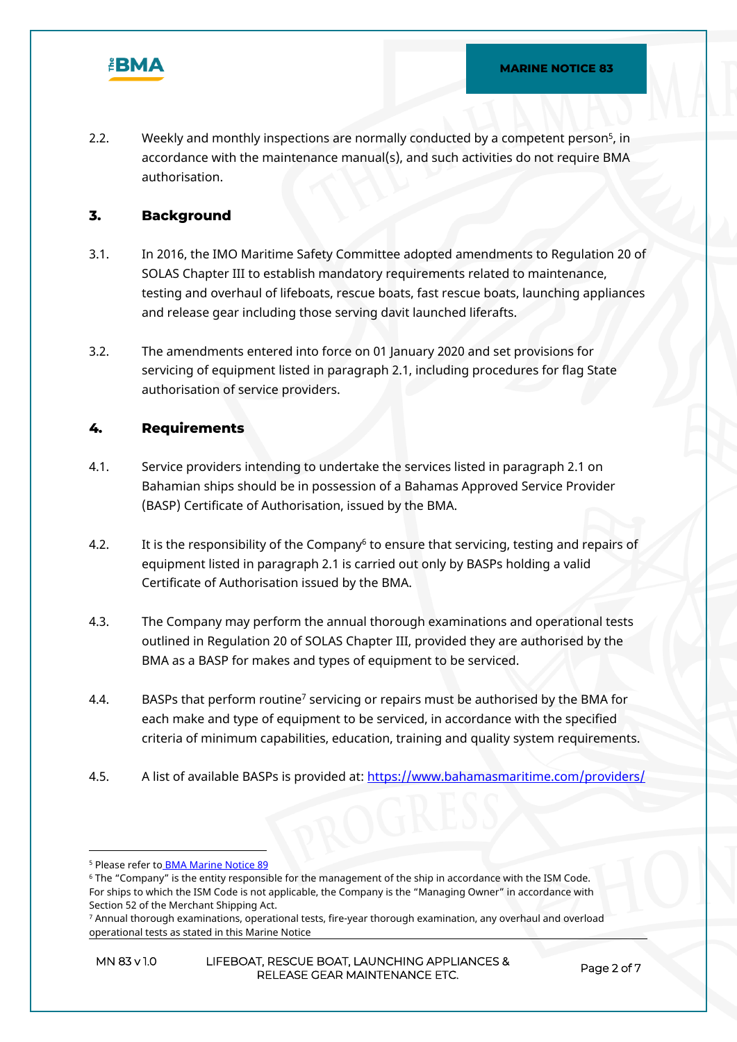

2.2. Weekly and monthly inspections are normally conducted by a competent person<sup>5</sup>, in accordance with the maintenance manual(s), and such activities do not require BMA authorisation.

#### **3. Background**

- 3.1. In 2016, the IMO Maritime Safety Committee adopted amendments to Regulation 20 of SOLAS Chapter III to establish mandatory requirements related to maintenance, testing and overhaul of lifeboats, rescue boats, fast rescue boats, launching appliances and release gear including those serving davit launched liferafts.
- 3.2. The amendments entered into force on 01 January 2020 and set provisions for servicing of equipment listed in paragraph 2.1, including procedures for flag State authorisation of service providers.

#### **4. Requirements**

- 4.1. Service providers intending to undertake the services listed in paragraph 2.1 on Bahamian ships should be in possession of a Bahamas Approved Service Provider (BASP) Certificate of Authorisation, issued by the BMA.
- 4.2. It is the responsibility of the Company<sup>6</sup> to ensure that servicing, testing and repairs of equipment listed in paragraph 2.1 is carried out only by BASPs holding a valid Certificate of Authorisation issued by the BMA.
- 4.3. The Company may perform the annual thorough examinations and operational tests outlined in Regulation 20 of SOLAS Chapter III, provided they are authorised by the BMA as a BASP for makes and types of equipment to be serviced.
- 4.4. BASPs that perform routine<sup>7</sup> servicing or repairs must be authorised by the BMA for each make and type of equipment to be serviced, in accordance with the specified criteria of minimum capabilities, education, training and quality system requirements.
- 4.5. A list of available BASPs is provided at: <https://www.bahamasmaritime.com/providers/>

<sup>&</sup>lt;sup>5</sup> Please refer to<u> BMA Marine Notice 89</u>

<sup>6</sup> The "Company" is the entity responsible for the management of the ship in accordance with the ISM Code. For ships to which the ISM Code is not applicable, the Company is the "Managing Owner" in accordance with Section 52 of the Merchant Shipping Act.

<sup>7</sup> Annual thorough examinations, operational tests, fire-year thorough examination, any overhaul and overload operational tests as stated in this Marine Notice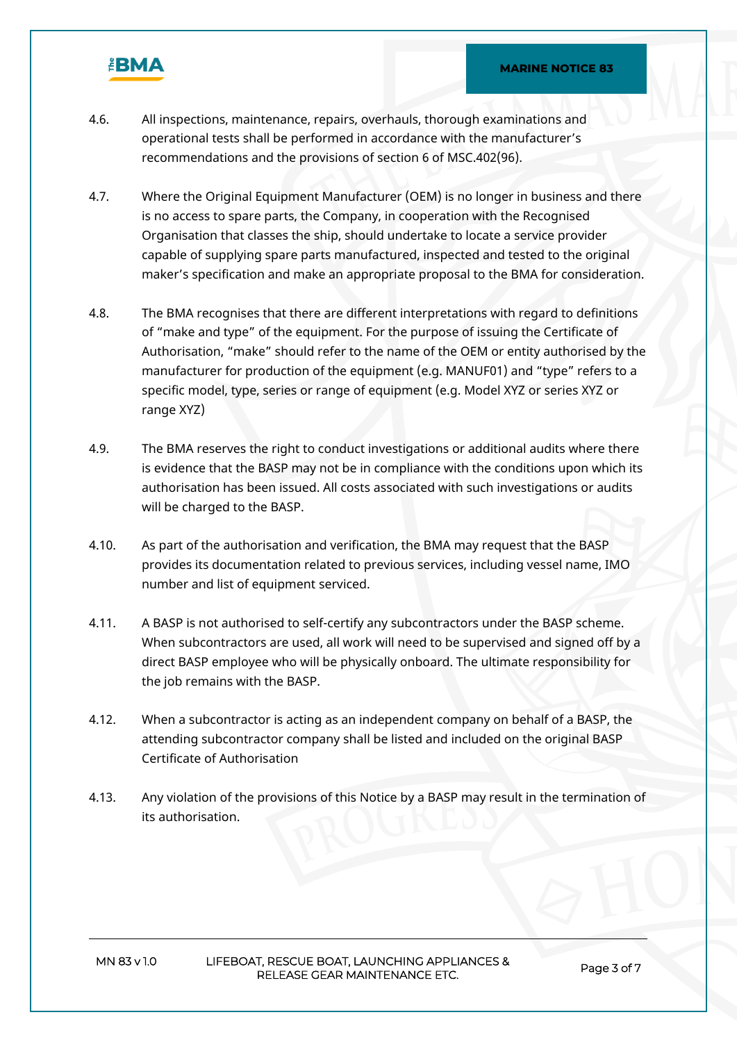

- 4.6. All inspections, maintenance, repairs, overhauls, thorough examinations and operational tests shall be performed in accordance with the manufacturer's recommendations and the provisions of section 6 of MSC.402(96).
- 4.7. Where the Original Equipment Manufacturer (OEM) is no longer in business and there is no access to spare parts, the Company, in cooperation with the Recognised Organisation that classes the ship, should undertake to locate a service provider capable of supplying spare parts manufactured, inspected and tested to the original maker's specification and make an appropriate proposal to the BMA for consideration.
- 4.8. The BMA recognises that there are different interpretations with regard to definitions of "make and type" of the equipment. For the purpose of issuing the Certificate of Authorisation, "make" should refer to the name of the OEM or entity authorised by the manufacturer for production of the equipment (e.g. MANUF01) and "type" refers to a specific model, type, series or range of equipment (e.g. Model XYZ or series XYZ or range XYZ)
- 4.9. The BMA reserves the right to conduct investigations or additional audits where there is evidence that the BASP may not be in compliance with the conditions upon which its authorisation has been issued. All costs associated with such investigations or audits will be charged to the BASP.
- 4.10. As part of the authorisation and verification, the BMA may request that the BASP provides its documentation related to previous services, including vessel name, IMO number and list of equipment serviced.
- 4.11. A BASP is not authorised to self-certify any subcontractors under the BASP scheme. When subcontractors are used, all work will need to be supervised and signed off by a direct BASP employee who will be physically onboard. The ultimate responsibility for the job remains with the BASP.
- 4.12. When a subcontractor is acting as an independent company on behalf of a BASP, the attending subcontractor company shall be listed and included on the original BASP Certificate of Authorisation
- 4.13. Any violation of the provisions of this Notice by a BASP may result in the termination of its authorisation.

**MN 83 v 1.0 LIFEBOAT, RESCUE BOAT, LAUNCHING APPLIANCES & RELEASE GEAR MAINTENANCE ETC. Page 3 of 7**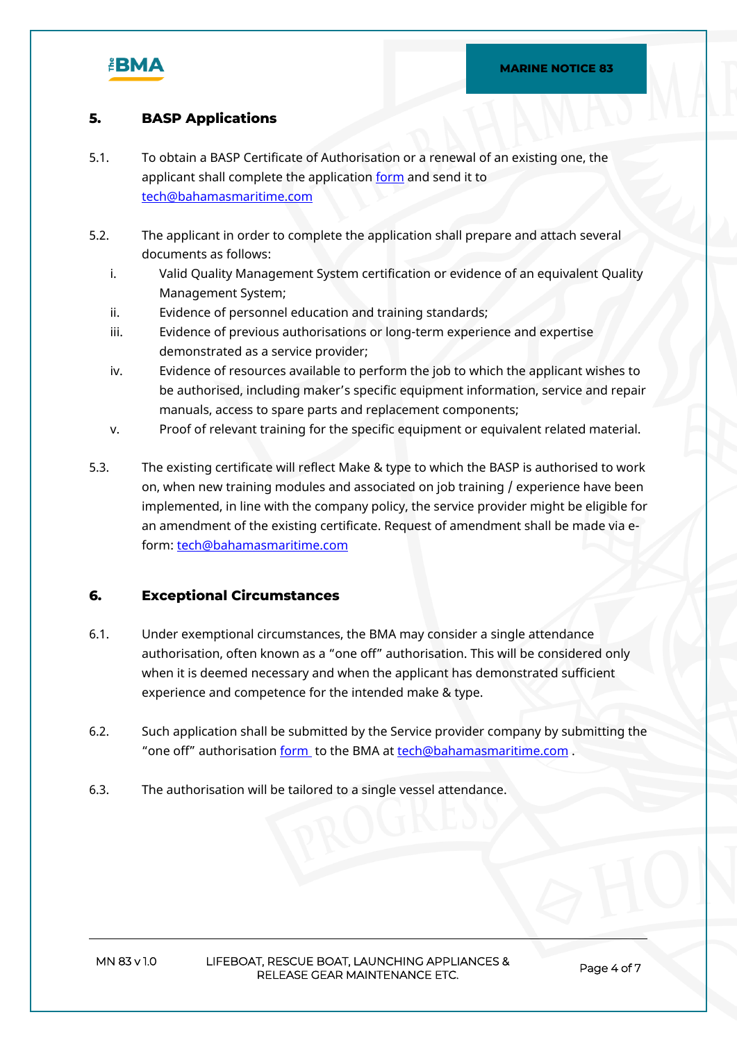

# **5. BASP Applications**

- 5.1. To obtain a BASP Certificate of Authorisation or a renewal of an existing one, the applicant shall complete the application [form](https://www.bahamasmaritime.com/wp-content/uploads/2021/11/BASP-Application-form-rev2.pdf) and send it to [tech@bahamasmaritime.com](mailto:tech@bahamasmaritime.com)
- 5.2. The applicant in order to complete the application shall prepare and attach several documents as follows:
	- i. Valid Quality Management System certification or evidence of an equivalent Quality Management System;
	- ii. Evidence of personnel education and training standards;
	- iii. Evidence of previous authorisations or long-term experience and expertise demonstrated as a service provider;
	- iv. Evidence of resources available to perform the job to which the applicant wishes to be authorised, including maker's specific equipment information, service and repair manuals, access to spare parts and replacement components;
	- v. Proof of relevant training for the specific equipment or equivalent related material.
- 5.3. The existing certificate will reflect Make & type to which the BASP is authorised to work on, when new training modules and associated on job training / experience have been implemented, in line with the company policy, the service provider might be eligible for an amendment of the existing certificate. Request of amendment shall be made via eform: [tech@bahamasmaritime.com](mailto:tech@bahamasmaritime.com)

#### **6. Exceptional Circumstances**

- 6.1. Under exemptional circumstances, the BMA may consider a single attendance authorisation, often known as a "one off" authorisation. This will be considered only when it is deemed necessary and when the applicant has demonstrated sufficient experience and competence for the intended make & type.
- 6.2. Such application shall be submitted by the Service provider company by submitting the "one off" authorisation [form](mailto:form%20) to the BMA at [tech@bahamasmaritime.com](mailto:tech@bahamasmaritime.com).
- 6.3. The authorisation will be tailored to a single vessel attendance.

**MN 83 v 1.0 LIFEBOAT, RESCUE BOAT, LAUNCHING APPLIANCES & RELEASE GEAR MAINTENANCE ETC. Page 4 of 7**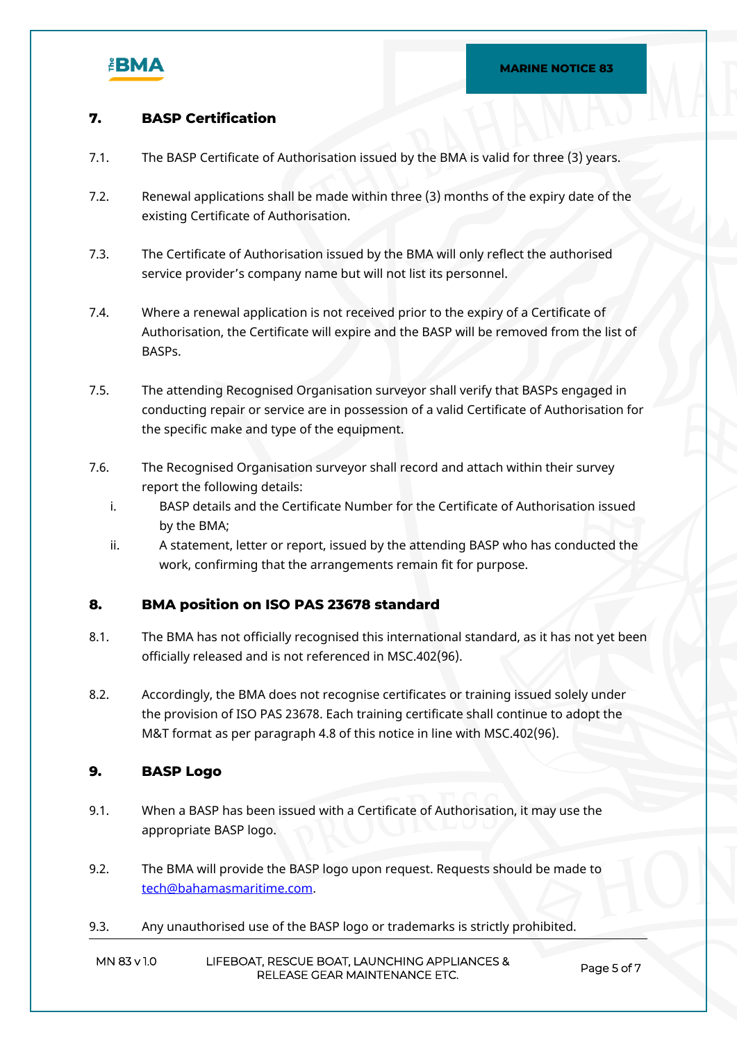

# **7. BASP Certification**

- 7.1. The BASP Certificate of Authorisation issued by the BMA is valid for three (3) years.
- 7.2. Renewal applications shall be made within three (3) months of the expiry date of the existing Certificate of Authorisation.
- 7.3. The Certificate of Authorisation issued by the BMA will only reflect the authorised service provider's company name but will not list its personnel.
- 7.4. Where a renewal application is not received prior to the expiry of a Certificate of Authorisation, the Certificate will expire and the BASP will be removed from the list of BASPs.
- 7.5. The attending Recognised Organisation surveyor shall verify that BASPs engaged in conducting repair or service are in possession of a valid Certificate of Authorisation for the specific make and type of the equipment.
- 7.6. The Recognised Organisation surveyor shall record and attach within their survey report the following details:
	- i. BASP details and the Certificate Number for the Certificate of Authorisation issued by the BMA;
	- ii. A statement, letter or report, issued by the attending BASP who has conducted the work, confirming that the arrangements remain fit for purpose.

# **8. BMA position on ISO PAS 23678 standard**

- 8.1. The BMA has not officially recognised this international standard, as it has not yet been officially released and is not referenced in MSC.402(96).
- 8.2. Accordingly, the BMA does not recognise certificates or training issued solely under the provision of ISO PAS 23678. Each training certificate shall continue to adopt the M&T format as per paragraph 4.8 of this notice in line with MSC.402(96).

# **9. BASP Logo**

- 9.1. When a BASP has been issued with a Certificate of Authorisation, it may use the appropriate BASP logo.
- 9.2. The BMA will provide the BASP logo upon request. Requests should be made to [tech@bahamasmaritime.com.](mailto:tech@bahamasmaritime.com)
- 9.3. Any unauthorised use of the BASP logo or trademarks is strictly prohibited.

| MN 83 v 1.0 | LIFEBOAT, RESCUE BOAT, LAUNCHING APPLIANCES & |
|-------------|-----------------------------------------------|
|             | RELEASE GEAR MAINTENANCE ETC.                 |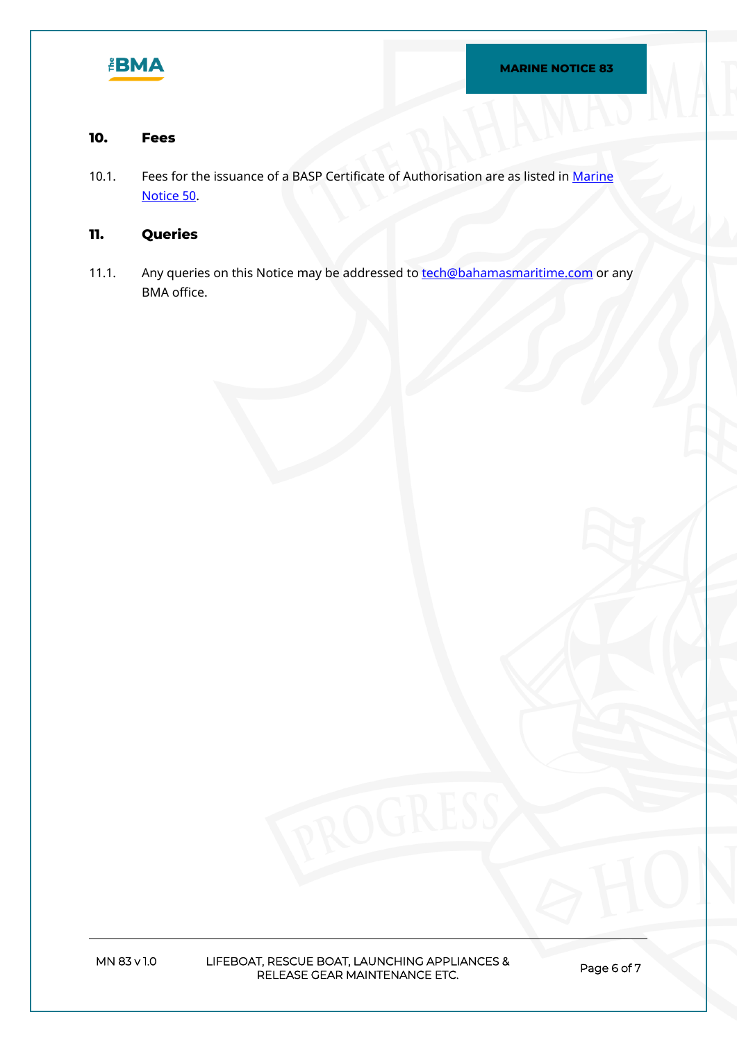

#### **10. Fees**

10.1. Fees for the issuance of a BASP Certificate of Authorisation are as listed in Marine [Notice 50](https://www.bahamasmaritime.com/wp-content/uploads/2021/01/MN050-Fee-Schedule-v2.2-ID-2371589.pdf).

#### **11. Queries**

11.1. Any queries on this Notice may be addressed to **[tech@bahamasmaritime.com](mailto:tech@bahamasmaritime.com)** or any BMA office.

**MN 83 v 1.0 LIFEBOAT, RESCUE BOAT, LAUNCHING APPLIANCES & RELEASE GEAR MAINTENANCE ETC. Page 6 of 7**